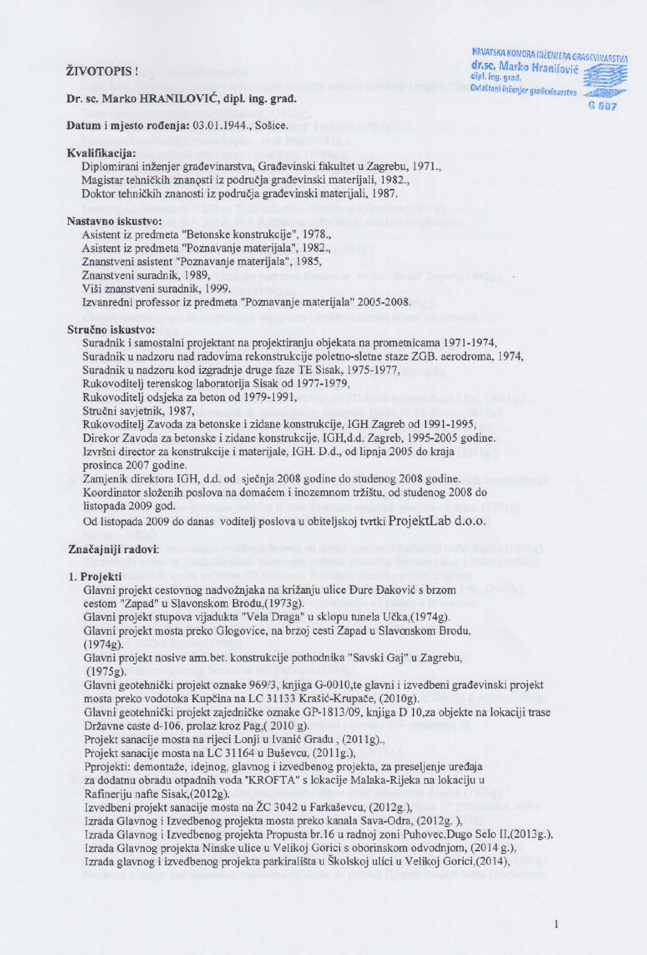#### ŽIVOTOPIS!

Dr. sc. Marko HRANILOVIĆ, dipl. ing. grad.

Datum i mjesto rođenja: 03.01.1944., Sošice.

#### Kvalifikacija:

Diplomirani inženjer građevinarstva, Građevinski fakultet u Zagrebu, 1971., Magistar tehničkih znanosti iz područja građevinski materijali, 1982., Doktor tehničkih znanosti iz područja građevinski materijali, 1987.

#### Nastavno iskustvo:

Asistent iz predmeta "Betonske konstrukcije", 1978., Asistent iz predmeta "Poznavanje materijala", 1982., Znanstveni asistent "Poznavanje materijala", 1985, Znanstveni suradnik, 1989, Viši znanstveni suradnik, 1999. Izvanredni professor iz predmeta "Poznavanje materijala" 2005-2008.

#### Stručno iskustvo:

Suradnik i samostalni projektant na projektiranju objekata na prometnicama 1971-1974. Suradnik u nadzoru nad radovima rekonstrukcije poletno-sletne staze ZGB. aerodroma, 1974, Suradnik u nadzoru kod izgradnje druge faze TE Sisak, 1975-1977,

Rukovoditelj terenskog laboratorija Sisak od 1977-1979,

Rukovoditelj odsjeka za beton od 1979-1991,

Stručni savietnik, 1987.

Rukovoditeli Zavoda za betonske i zidane konstrukcije, IGH Zagreb od 1991-1995. Direkor Zavoda za betonske i zidane konstrukcije, IGH,d.d. Zagreb, 1995-2005 godine. Izvršni director za konstrukcije i materijale, IGH. D.d., od lipnja 2005 do kraja prosinca 2007 godine.

Zamjenik direktora IGH, d.d. od sječnja 2008 godine do studenog 2008 godine. Koordinator složenih poslova na domaćem i inozemnom tržištu, od studenog 2008 do listopada 2009 god.

Od listopada 2009 do danas voditelj poslova u obiteljskoj tvrtki ProjektLab d.o.o.

#### Značajniji radovi:

#### 1. Projekti

Glavni projekt cestovnog nadvožnjaka na križanju ulice Đure Đaković s brzom cestom "Zapad" u Slavonskom Brodu, (1973g).

Glavni projekt stupova vijadukta "Vela Draga" u sklopu tunela Učka, (1974g).

Glavni projekt mosta preko Glogovice, na brzoj cesti Zapad u Slavonskom Brodu,  $(1974g).$ 

Glavni projekt nosive arm.bet. konstrukcije pothodnika "Savski Gaj" u Zagrebu,  $(1975g)$ .

Glavni geotehnički projekt oznake 969/3, knjiga G-0010, te glavni i izvedbeni građevinski projekt mosta preko vodotoka Kupčina na LC 31133 Krašić-Krupače, (2010g).

Glavni geotehnički projekt zajedničke oznake GP-1813/09, knjiga D 10,za objekte na lokaciji trase Državne caste d-106, prolaz kroz Pag, (2010 g).

Projekt sanacije mosta na rijeci Lonji u Ivanić Gradu, (2011g).,

Projekt sanacije mosta na LC 31164 u Buševcu, (2011g.),

Pprojekti: demontaže, idejnog, glavnog i izvedbenog projekta, za preseljenje uređaja za dodatnu obradu otpadnih voda "KROFTA" s lokacije Malaka-Rijeka na lokaciju u

Rafineriju nafte Sisak.(2012g).

Izvedbeni projekt sanacije mosta na ŽC 3042 u Farkaševcu, (2012g.).

Izrada Glavnog i Izvedbenog projekta mosta preko kanala Sava-Odra, (2012g.),

Izrada Glavnog i Izvedbenog projekta Propusta br.16 u radnoj zoni Puhovec, Dugo Selo II, (2013g.), Izrada Glavnog projekta Ninske ulice u Velikoj Gorici s oborinskom odvodnjom, (2014 g.),

Izrada glavnog i izvedbenog projekta parkirališta u Školskoj ulici u Velikoj Gorici, (2014),

HRVATSKA KOMORA INŽENJERA GRAĐEVINARSTVA dr.sc. Marko Hranilović dipl. ing. grad. Ovlašteni inženjer građevinarstva

G 587

 $\mathbf{1}$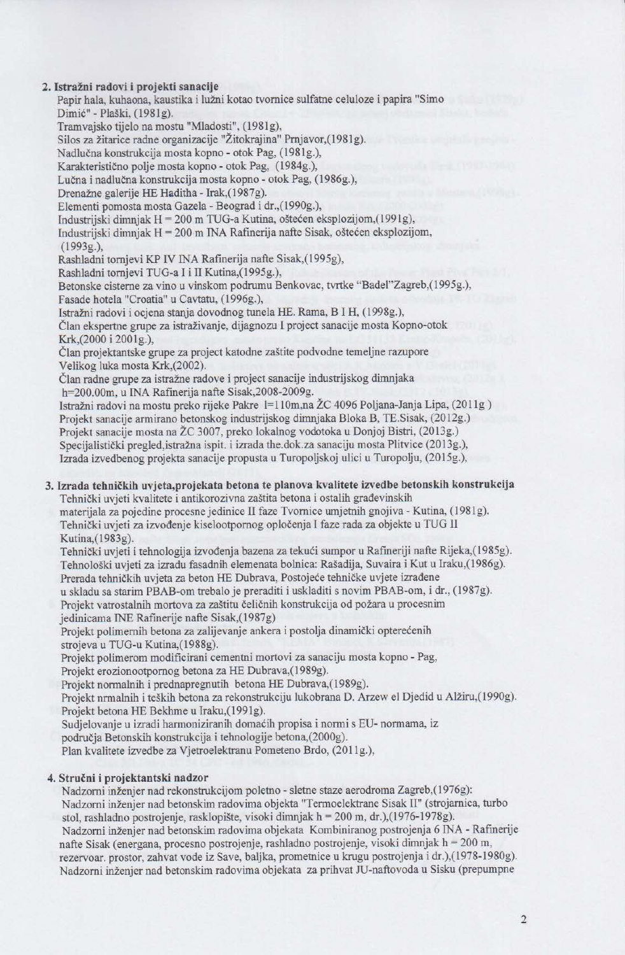#### 2. Istražni radovi i projekti sanacije

Papir hala, kuhaona, kaustika i lužni kotao tvornice sulfatne celuloze i papira "Simo Dimić" - Plaški, (1981g).

Tramvajsko tijelo na mostu "Mladosti", (1981g),

Silos za žitarice radne organizacije "Žitokrajina" Prnjavor, (1981g).

Nadlučna konstrukcija mosta kopno - otok Pag, (1981g.),

Karakteristično polje mosta kopno - otok Pag, (1984g.),

Lučna i nadlučna konstrukcija mosta kopno - otok Pag, (1986g.),

Drenažne galerije HE Haditha - Irak, (1987g).

Elementi pomosta mosta Gazela - Beograd i dr., (1990g.),

Industrijski dimnjak H = 200 m TUG-a Kutina, oštećen eksplozijom, (1991g),

Industrijski dimnjak H = 200 m INA Rafinerija nafte Sisak, oštećen eksplozijom,

 $(1993g.),$ 

Rashladni tornjevi KP IV INA Rafinerija nafte Sisak, (1995g),

Rashladni tornjevi TUG-a I i II Kutina, (1995g.),

Betonske cisterne za vino u vinskom podrumu Benkovac, tvrtke "Badel"Zagreb, (1995g.), Fasade hotela "Croatia" u Cavtatu, (1996g.),

Istražni radovi i ocjena stanja dovodnog tunela HE. Rama, B I H, (1998g.),

Član ekspertne grupe za istraživanje, dijagnozu I project sanacije mosta Kopno-otok Krk,(2000 i 2001g.),

Član projektantske grupe za project katodne zaštite podvodne temeljne razupore Velikog luka mosta Krk, (2002).

Član radne grupe za istražne radove i project sanacije industrijskog dimnjaka h=200.00m, u INA Rafinerija nafte Sisak, 2008-2009g.

Istražni radovi na mostu preko rijeke Pakre 1=110m,na ŽC 4096 Poljana-Janja Lipa, (2011g) Projekt sanacije armirano betonskog industrijskog dimnjaka Bloka B, TE.Sisak, (2012g.) Projekt sanacije mosta na ŽC 3007, preko lokalnog vodotoka u Donjoj Bistri, (2013g.) Specijalistički pregled, istražna ispit. i izrada the.dok.za sanaciju mosta Plitvice (2013g.), Izrada izvedbenog projekta sanacije propusta u Turopoljskoj ulici u Turopolju, (2015g.),

# 3. Izrada tehničkih uvjeta, projekata betona te planova kvalitete izvedbe betonskih konstrukcija

Tehnički uvjeti kvalitete i antikorozivna zaštita betona i ostalih građevinskih materijala za pojedine procesne jedinice II faze Tvornice umjetnih gnojiva - Kutina, (1981g). Tehnički uvjeti za izvođenje kiselootpornog opločenja I faze rada za objekte u TUG II Kutina, (1983g).

Tehnički uvjeti i tehnologija izvođenja bazena za tekući sumpor u Rafineriji nafte Rijeka, (1985g). Tehnološki uvieti za izradu fasadnih elemenata bolnica: Rašadija, Suvaira i Kut u Iraku, (1986g). Prerada tehničkih uvjeta za beton HE Dubrava, Postojeće tehničke uvjete izrađene

u skladu sa starim PBAB-om trebalo je preraditi i uskladiti s novim PBAB-om, i dr., (1987g).

Projekt vatrostalnih mortova za zaštitu čeličnih konstrukcija od požara u procesnim jedinicama INE Rafinerije nafte Sisak, (1987g)

Projekt polimernih betona za zalijevanje ankera i postolja dinamički opterećenih strojeva u TUG-u Kutina, (1988g).

Projekt polimerom modificirani cementni mortovi za sanaciju mosta kopno - Pag, Projekt erozionootpornog betona za HE Dubrava, (1989g).

Projekt normalnih i prednapregnutih betona HE Dubrava, (1989g). Projekt nrmalnih i teških betona za rekonstrukciju lukobrana D. Arzew el Djedid u Alžiru, (1990g).

Projekt betona HE Bekhme u Iraku, (1991g).

Sudjelovanje u izradi harmoniziranih domaćih propisa i normi s EU- normama, iz

područja Betonskih konstrukcija i tehnologije betona, (2000g).

Plan kvalitete izvedbe za Vjetroelektranu Pometeno Brdo, (2011g.),

#### 4. Stručni i projektantski nadzor

Nadzorni inženjer nad rekonstrukcijom poletno - sletne staze aerodroma Zagreb.(1976g):

Nadzorni inženjer nad betonskim radovima objekta "Termoelektrane Sisak II" (strojarnica, turbo stol, rashladno postrojenje, rasklopište, visoki dimnjak h = 200 m, dr.),(1976-1978g).

Nadzorni inženier nad betonskim radovima objekata Kombiniranog postrojenja 6 INA - Rafinerije nafte Sisak (energana, procesno postrojenje, rashladno postrojenje, visoki dimnjak h = 200 m, rezervoar. prostor, zahvat vode iz Save, baljka, prometnice u krugu postrojenja i dr.), (1978-1980g).

Nadzorni inženier nad betonskim radovima objekata za prihvat JU-naftovoda u Sisku (prepumpne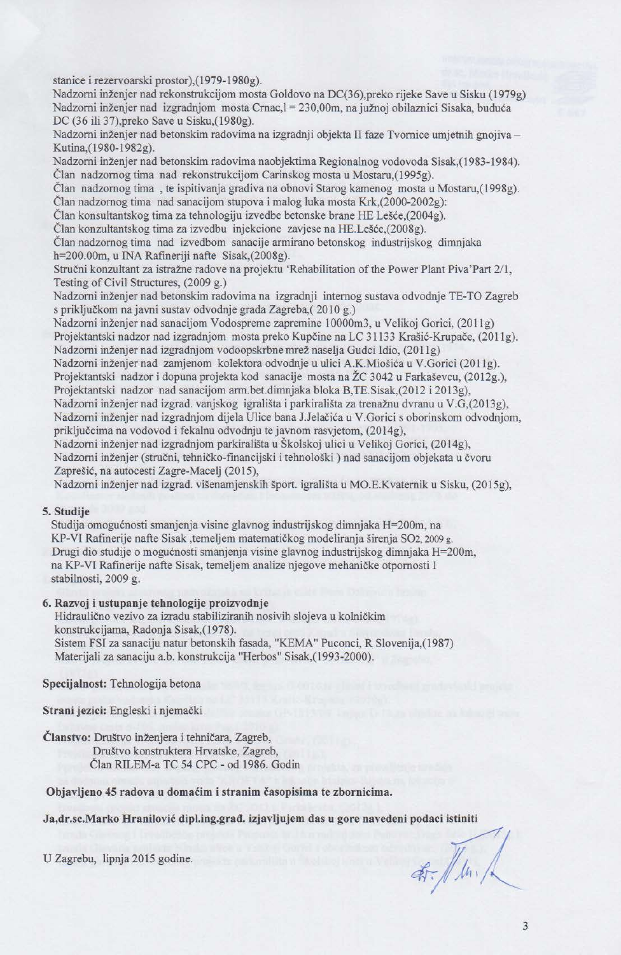stanice i rezervoarski prostor),(1979-1980g).

Nadzorni inženjer nad rekonstrukcijom mosta Goldovo na DC(36), preko rijeke Save u Sisku (1979g) Nadzorni inženjer nad izgradnjom mosta Crnac, l = 230,00m, na južnoj obilaznici Sisaka, buduća DC (36 ili 37), preko Save u Sisku, (1980g).

Nadzorni inženjer nad betonskim radovima na izgradnji objekta II faze Tvornice umjetnih gnojiva-Kutina, (1980-1982g).

Nadzorni inženjer nad betonskim radovima naobjektima Regionalnog vodovoda Sisak, (1983-1984). Član nadzornog tima nad rekonstrukcijom Carinskog mosta u Mostaru. (1995g).

Član nadzornog tima, te ispitivanja gradiva na obnovi Starog kamenog mosta u Mostaru, (1998g). Član nadzornog tima nad sanacijom stupova i malog luka mosta Krk,(2000-2002g):

Član konsultantskog tima za tehnologiju izvedbe betonske brane HE Lešće,(2004g).

Član konzultantskog tima za izvedbu injekcione zavjese na HE.Lešće,(2008g).

Član nadzornog tima nad izvedbom sanacije armirano betonskog industrijskog dimnjaka h=200.00m, u INA Rafineriji nafte Sisak, (2008g).

Stručni konzultant za istražne radove na projektu 'Rehabilitation of the Power Plant Piva'Part 2/1, Testing of Civil Structures, (2009 g.)

Nadzorni inženjer nad betonskim radovima na izgradnji internog sustava odvodnje TE-TO Zagreb s priključkom na javni sustav odvodnje grada Zagreba, (2010 g.)

Nadzorni inženjer nad sanacijom Vodospreme zapremine 10000m3, u Velikoj Gorici, (2011g) Projektantski nadzor nad izgradnjom mosta preko Kupčine na LC 31133 Krašić-Krupače, (2011g). Nadzorni inženjer nad izgradnjom vodoopskrbne mrež naselja Gudci Idio, (2011g) Nadzorni inženjer nad zamjenom kolektora odvodnje u ulici A.K.Miošića u V.Gorici (2011g). Projektantski nadzor i dopuna projekta kod sanacije mosta na ŽC 3042 u Farkaševcu, (2012g.),

Projektantski nadzor nad sanacijom arm.bet.dimnjaka bloka B,TE.Sisak,(2012 i 2013g),

Nadzorni inženjer nad izgrad. vanjskog igrališta i parkirališta za trenažnu dvranu u V.G.(2013g), Nadzorni inženjer nad izgradnjom dijela Ulice bana J.Jelačića u V.Gorici s oborinskom odvodnjom, priključcima na vodovod i fekalnu odvodnju te javnom rasvjetom, (2014g),

Nadzorni inženjer nad izgradnjom parkirališta u Školskoj ulici u Velikoj Gorici, (2014g), Nadzorni inženjer (stručni, tehničko-financijski i tehnološki ) nad sanacijom objekata u čvoru Zaprešić, na autocesti Zagre-Macelj (2015),

Nadzorni inženjer nad izgrad. višenamjenskih šport. igrališta u MO.E.Kvaternik u Sisku, (2015g),

#### 5. Studije

Studija omogućnosti smanjenja visine glavnog industrijskog dimnjaka H=200m, na KP-VI Rafinerije nafte Sisak ,temeljem matematičkog modeliranja širenja SO2, 2009 g. Drugi dio studije o mogućnosti smanjenja visine glavnog industrijskog dimnjaka H=200m, na KP-VI Rafinerije nafte Sisak, temeljem analize njegove mehaničke otpornosti I stabilnosti, 2009 g.

#### 6. Razvoj i ustupanje tehnologije proizvodnje

Hidraulično vezivo za izradu stabiliziranih nosivih slojeva u kolničkim konstrukcijama, Radonja Sisak, (1978). Sistem FSI za sanaciju natur betonskih fasada, "KEMA" Puconci, R Slovenija, (1987) Materijali za sanaciju a.b. konstrukcija "Herbos" Sisak, (1993-2000).

Specijalnost: Tehnologija betona

Strani jezici: Engleski i njemački

Članstvo: Društvo inženjera i tehničara, Zagreb, Društvo konstruktera Hrvatske, Zagreb, Član RILEM-a TC 54 CPC - od 1986. Godin

Objavljeno 45 radova u domaćim i stranim časopisima te zbornicima.

Ja, dr. sc. Marko Hranilović dipl. ing. građ. izjavljujem das u gore navedeni podaci istiniti

U Zagrebu, lipnja 2015 godine.

4. Mm. L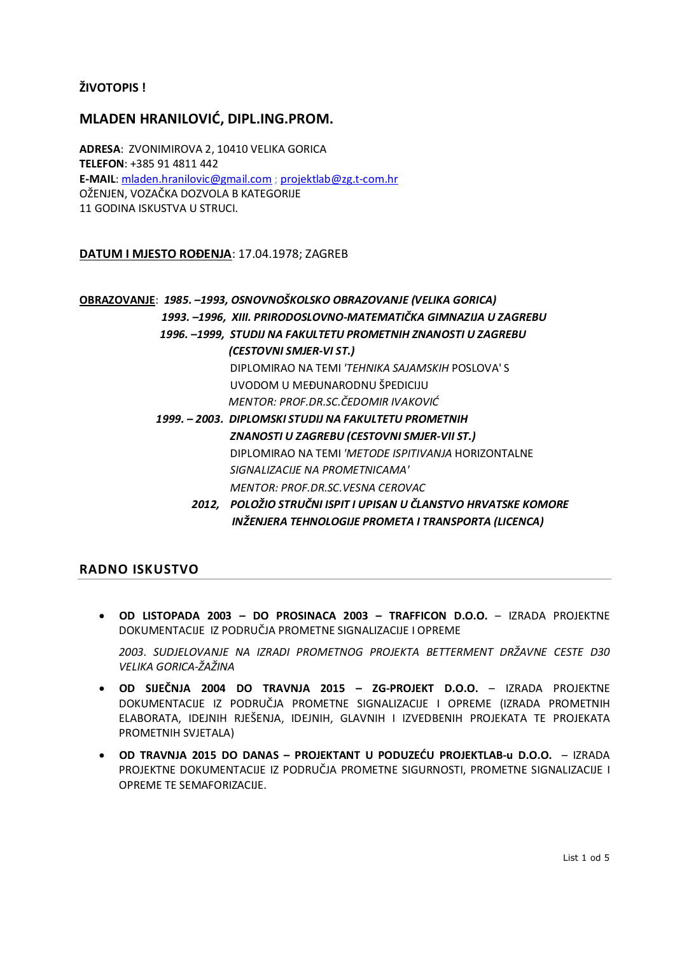**ŽIVOTOPIS !**

# **MLADEN HRANILOVIĆ, DIPL.ING.PROM.**

**ADRESA**: ZVONIMIROVA 2, 10410 VELIKA GORICA **TELEFON**: +385 91 4811 442 **E-MAIL**: mladen.hranilovic@gmail.com ; projektlab@zg.t-com.hr OŽENJEN, VOZAČKA DOZVOLA B KATEGORIJE 11 GODINA ISKUSTVA U STRUCI.

### **DATUM I MJESTO ROĐENJA**: 17.04.1978; ZAGREB

# **OBRAZOVANJE**: *1985. –1993, OSNOVNOŠKOLSKO OBRAZOVANJE (VELIKA GORICA) 1993. –1996, XIII. PRIRODOSLOVNO-MATEMATIČKA GIMNAZIJA U ZAGREBU 1996. –1999, STUDIJ NA FAKULTETU PROMETNIH ZNANOSTI U ZAGREBU (CESTOVNI SMJER-VI ST.)* DIPLOMIRAO NA TEMI *'TEHNIKA SAJAMSKIH* POSLOVA' S UVODOM U MEĐUNARODNU ŠPEDICIJU  *MENTOR: PROF.DR.SC.ČEDOMIR IVAKOVIĆ 1999. – 2003. DIPLOMSKI STUDIJ NA FAKULTETU PROMETNIH ZNANOSTI U ZAGREBU (CESTOVNI SMJER-VII ST.)* DIPLOMIRAO NA TEMI *'METODE ISPITIVANJA* HORIZONTALNE *SIGNALIZACIJE NA PROMETNICAMA' MENTOR: PROF.DR.SC.VESNA CEROVAC 2012, POLOŽIO STRUČNI ISPIT I UPISAN U ČLANSTVO HRVATSKE KOMORE*

# **RADNO ISKUSTVO**

· **OD LISTOPADA 2003 – DO PROSINACA 2003 – TRAFFICON D.O.O.** – IZRADA PROJEKTNE DOKUMENTACIJE IZ PODRUČJA PROMETNE SIGNALIZACIJE I OPREME

*2003. SUDJELOVANJE NA IZRADI PROMETNOG PROJEKTA BETTERMENT DRŽAVNE CESTE D30 VELIKA GORICA-ŽAŽINA*

 *INŽENJERA TEHNOLOGIJE PROMETA I TRANSPORTA (LICENCA)*

- · **OD SIJEČNJA 2004 DO TRAVNJA 2015 – ZG-PROJEKT D.O.O.** IZRADA PROJEKTNE DOKUMENTACIJE IZ PODRUČJA PROMETNE SIGNALIZACIJE I OPREME (IZRADA PROMETNIH ELABORATA, IDEJNIH RJEŠENJA, IDEJNIH, GLAVNIH I IZVEDBENIH PROJEKATA TE PROJEKATA PROMETNIH SVJETALA)
- · **OD TRAVNJA 2015 DO DANAS – PROJEKTANT U PODUZEĆU PROJEKTLAB-u D.O.O.**  IZRADA PROJEKTNE DOKUMENTACIJE IZ PODRUČJA PROMETNE SIGURNOSTI, PROMETNE SIGNALIZACIJE I OPREME TE SEMAFORIZACIJE.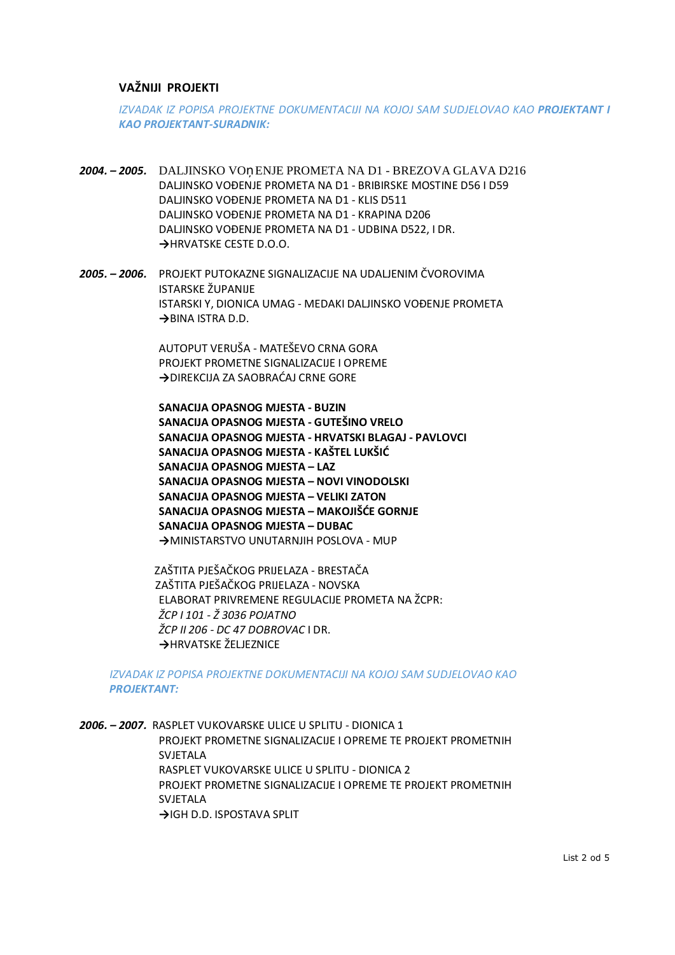## **VAŽNIJI PROJEKTI**

*IZVADAK IZ POPISA PROJEKTNE DOKUMENTACIJI NA KOJOJ SAM SUDJELOVAO KAO PROJEKTANT I KAO PROJEKTANT-SURADNIK:*

- *2004. – 2005.* DALJINSKO VO ENJE PROMETA NA D1 BREZOVA GLAVA D216 DALJINSKO VOĐENJE PROMETA NA D1 - BRIBIRSKE MOSTINE D56 I D59 DALJINSKO VOĐENJE PROMETA NA D1 - KLIS D511 DALJINSKO VOĐENJE PROMETA NA D1 - KRAPINA D206 DALJINSKO VOĐENJE PROMETA NA D1 - UDBINA D522, I DR. **→**HRVATSKE CESTE D.O.O.
- *2005. – 2006.* PROJEKT PUTOKAZNE SIGNALIZACIJE NA UDALJENIM ČVOROVIMA ISTARSKE ŽUPANIJE ISTARSKI Y, DIONICA UMAG - MEDAKI DALJINSKO VOĐENJE PROMETA **→**BINA ISTRA D.D.

AUTOPUT VERUŠA - MATEŠEVO CRNA GORA PROJEKT PROMETNE SIGNALIZACIJE I OPREME **→**DIREKCIJA ZA SAOBRAĆAJ CRNE GORE

**SANACIJA OPASNOG MJESTA - BUZIN SANACIJA OPASNOG MJESTA - GUTEŠINO VRELO SANACIJA OPASNOG MJESTA - HRVATSKI BLAGAJ - PAVLOVCI SANACIJA OPASNOG MJESTA - KAŠTEL LUKŠIĆ SANACIJA OPASNOG MJESTA – LAZ SANACIJA OPASNOG MJESTA – NOVI VINODOLSKI SANACIJA OPASNOG MJESTA – VELIKI ZATON SANACIJA OPASNOG MJESTA – MAKOJIŠĆE GORNJE SANACIJA OPASNOG MJESTA – DUBAC →**MINISTARSTVO UNUTARNJIH POSLOVA - MUP

 ZAŠTITA PJEŠAČKOG PRIJELAZA - BRESTAČA ZAŠTITA PJEŠAČKOG PRIJELAZA - NOVSKA ELABORAT PRIVREMENE REGULACIJE PROMETA NA ŽCPR: *ŽCP I 101 - Ž 3036 POJATNO ŽCP II 206 - DC 47 DOBROVAC* I DR. **→**HRVATSKE ŽELJEZNICE

 *IZVADAK IZ POPISA PROJEKTNE DOKUMENTACIJI NA KOJOJ SAM SUDJELOVAO KAO PROJEKTANT:*

*2006. – 2007.* RASPLET VUKOVARSKE ULICE U SPLITU - DIONICA 1 PROJEKT PROMETNE SIGNALIZACIJE I OPREME TE PROJEKT PROMETNIH SVIFTALA RASPLET VUKOVARSKE ULICE U SPLITU - DIONICA 2 PROJEKT PROMETNE SIGNALIZACIJE I OPREME TE PROJEKT PROMETNIH SVJETALA **→**IGH D.D. ISPOSTAVA SPLIT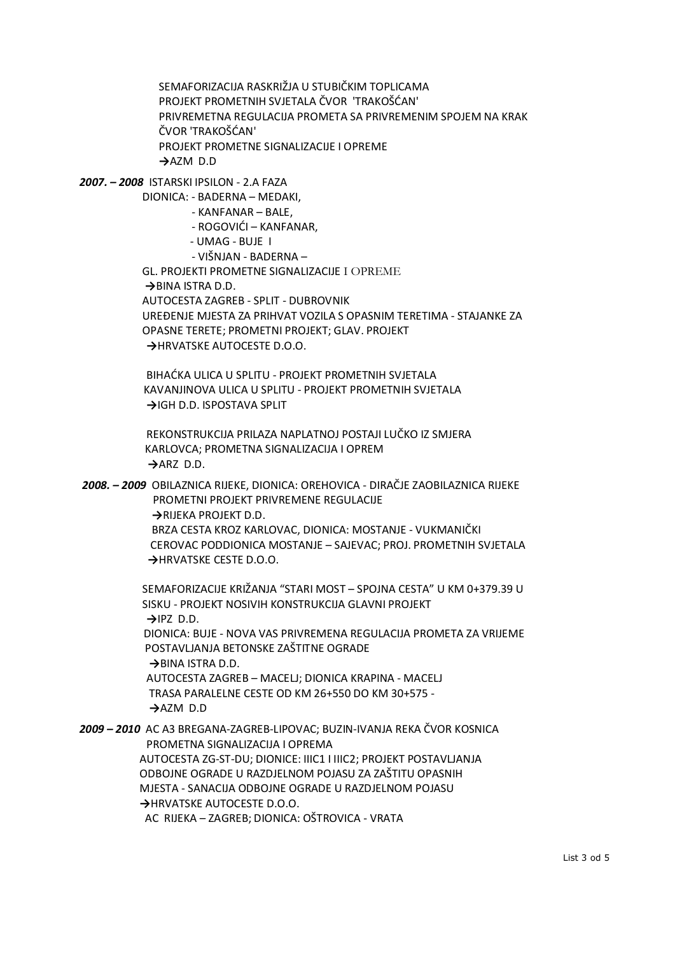SEMAFORIZACIJA RASKRIŽJA U STUBIČKIM TOPLICAMA PROJEKT PROMETNIH SVJETALA ČVOR 'TRAKOŠĆAN' PRIVREMETNA REGULACIJA PROMETA SA PRIVREMENIM SPOJEM NA KRAK ČVOR 'TRAKOŠĆAN' PROJEKT PROMETNE SIGNALIZACIJE I OPREME **→**AZM D.D

*2007. – 2008* ISTARSKI IPSILON - 2.A FAZA

DIONICA: - BADERNA – MEDAKI,

- KANFANAR BALE,
- ROGOVIĆI KANFANAR,
- UMAG BUJE I
- VIŠNJAN BADERNA –

GL. PROJEKTI PROMETNE SIGNALIZACIJE I OPREME

**→**BINA ISTRA D.D.

 AUTOCESTA ZAGREB - SPLIT - DUBROVNIK UREĐENJE MJESTA ZA PRIHVAT VOZILA S OPASNIM TERETIMA - STAJANKE ZA OPASNE TERETE; PROMETNI PROJEKT; GLAV. PROJEKT **→**HRVATSKE AUTOCESTE D.O.O.

 BIHAĆKA ULICA U SPLITU - PROJEKT PROMETNIH SVJETALA KAVANJINOVA ULICA U SPLITU - PROJEKT PROMETNIH SVJETALA **→**IGH D.D. ISPOSTAVA SPLIT

 REKONSTRUKCIJA PRILAZA NAPLATNOJ POSTAJI LUČKO IZ SMJERA KARLOVCA; PROMETNA SIGNALIZACIJA I OPREM **→**ARZ D.D.

*2008. – 2009* OBILAZNICA RIJEKE, DIONICA: OREHOVICA - DIRAČJE ZAOBILAZNICA RIJEKE PROMETNI PROJEKT PRIVREMENE REGULACIJE **→**RIJEKA PROJEKT D.D. BRZA CESTA KROZ KARLOVAC, DIONICA: MOSTANJE - VUKMANIČKI CEROVAC PODDIONICA MOSTANJE – SAJEVAC; PROJ. PROMETNIH SVJETALA **→**HRVATSKE CESTE D.O.O.

> SEMAFORIZACIJE KRIŽANJA "STARI MOST – SPOJNA CESTA" U KM 0+379.39 U SISKU - PROJEKT NOSIVIH KONSTRUKCIJA GLAVNI PROJEKT **→**IPZ D.D. DIONICA: BUJE - NOVA VAS PRIVREMENA REGULACIJA PROMETA ZA VRIJEME POSTAVLJANJA BETONSKE ZAŠTITNE OGRADE **→**BINA ISTRA D.D. AUTOCESTA ZAGREB – MACELJ; DIONICA KRAPINA - MACELJ TRASA PARALELNE CESTE OD KM 26+550 DO KM 30+575 - **→**AZM D.D

*2009 – 2010* AC A3 BREGANA-ZAGREB-LIPOVAC; BUZIN-IVANJA REKA ČVOR KOSNICA PROMETNA SIGNALIZACIJA I OPREMA AUTOCESTA ZG-ST-DU; DIONICE: IIIC1 I IIIC2; PROJEKT POSTAVLJANJA ODBOJNE OGRADE U RAZDJELNOM POJASU ZA ZAŠTITU OPASNIH MJESTA - SANACIJA ODBOJNE OGRADE U RAZDJELNOM POJASU **→**HRVATSKE AUTOCESTE D.O.O. AC RIJEKA – ZAGREB; DIONICA: OŠTROVICA - VRATA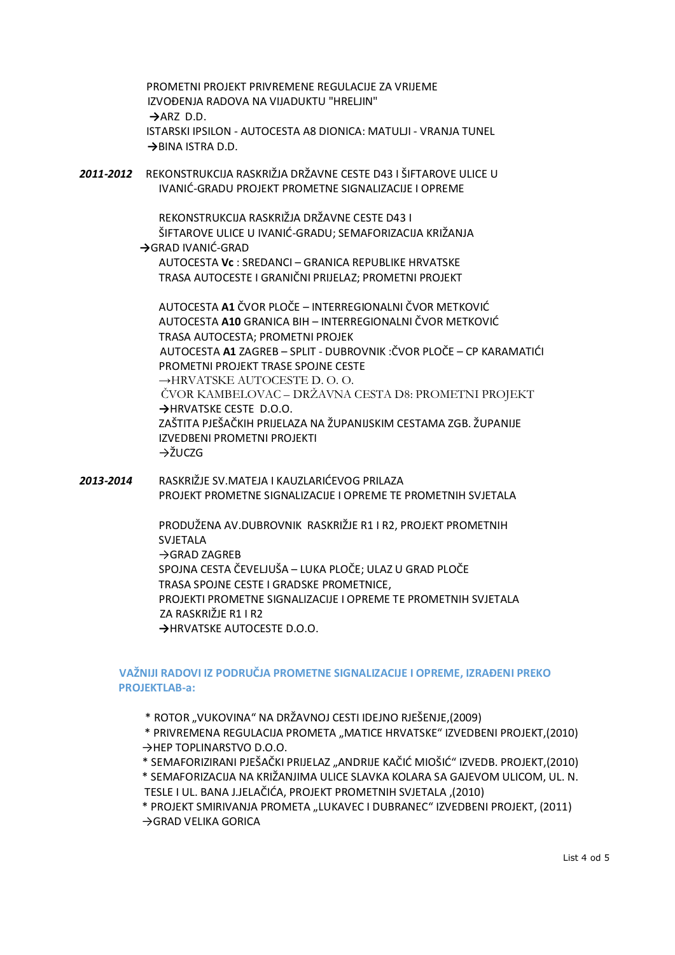PROMETNI PROJEKT PRIVREMENE REGULACIJE ZA VRIJEME IZVOĐENJA RADOVA NA VIJADUKTU "HRELJIN" **→**ARZ D.D. ISTARSKI IPSILON - AUTOCESTA A8 DIONICA: MATULJI - VRANJA TUNEL **→**BINA ISTRA D.D.

*2011-2012* REKONSTRUKCIJA RASKRIŽJA DRŽAVNE CESTE D43 I ŠIFTAROVE ULICE U IVANIĆ-GRADU PROJEKT PROMETNE SIGNALIZACIJE I OPREME

> REKONSTRUKCIJA RASKRIŽJA DRŽAVNE CESTE D43 I ŠIFTAROVE ULICE U IVANIĆ-GRADU; SEMAFORIZACIJA KRIŽANJA **→**GRAD IVANIĆ-GRAD

AUTOCESTA **Vc** : SREDANCI – GRANICA REPUBLIKE HRVATSKE TRASA AUTOCESTE I GRANIČNI PRIJELAZ; PROMETNI PROJEKT

AUTOCESTA **A1** ČVOR PLOČE – INTERREGIONALNI ČVOR METKOVIĆ AUTOCESTA **A10** GRANICA BIH – INTERREGIONALNI ČVOR METKOVIĆ TRASA AUTOCESTA; PROMETNI PROJEK AUTOCESTA **A1** ZAGREB – SPLIT - DUBROVNIK :ČVOR PLOČE – CP KARAMATIĆI PROMETNI PROJEKT TRASE SPOJNE CESTE →HRVATSKE AUTOCESTE D. O. O. ČVOR KAMBELOVAC – DRŽAVNA CESTA D8: PROMETNI PROJEKT **→**HRVATSKE CESTE D.O.O. ZAŠTITA PJEŠAČKIH PRIJELAZA NA ŽUPANIJSKIM CESTAMA ZGB. ŽUPANIJE IZVEDBENI PROMETNI PROJEKTI  $\rightarrow$ ŽUCZG

*2013-2014* RASKRIŽJE SV.MATEJA I KAUZLARIĆEVOG PRILAZA PROJEKT PROMETNE SIGNALIZACIJE I OPREME TE PROMETNIH SVJETALA

> PRODUŽENA AV.DUBROVNIK RASKRIŽJE R1 I R2, PROJEKT PROMETNIH SVJETALA →GRAD ZAGREB SPOJNA CESTA ČEVELJUŠA – LUKA PLOČE; ULAZ U GRAD PLOČE TRASA SPOJNE CESTE I GRADSKE PROMETNICE, PROJEKTI PROMETNE SIGNALIZACIJE I OPREME TE PROMETNIH SVJETALA ZA RASKRIŽJE R1 I R2 **→**HRVATSKE AUTOCESTE D.O.O.

### **VAŽNIJI RADOVI IZ PODRUČJA PROMETNE SIGNALIZACIJE I OPREME, IZRAĐENI PREKO PROJEKTLAB-a:**

\* ROTOR "VUKOVINA" NA DRŽAVNOJ CESTI IDEJNO RJEŠENJE,(2009)

- \* PRIVREMENA REGULACIJA PROMETA "MATICE HRVATSKE" IZVEDBENI PROJEKT,(2010) →HEP TOPLINARSTVO D.O.O.
- \* SEMAFORIZIRANI PJEŠAČKI PRIJELAZ "ANDRIJE KAČIĆ MIOŠIĆ" IZVEDB. PROJEKT,(2010) \* SEMAFORIZACIJA NA KRIŽANJIMA ULICE SLAVKA KOLARA SA GAJEVOM ULICOM, UL. N.
- TESLE I UL. BANA J.JELAČIĆA, PROJEKT PROMETNIH SVJETALA ,(2010)

 \* PROJEKT SMIRIVANJA PROMETA "LUKAVEC I DUBRANEC" IZVEDBENI PROJEKT, (2011) →GRAD VELIKA GORICA